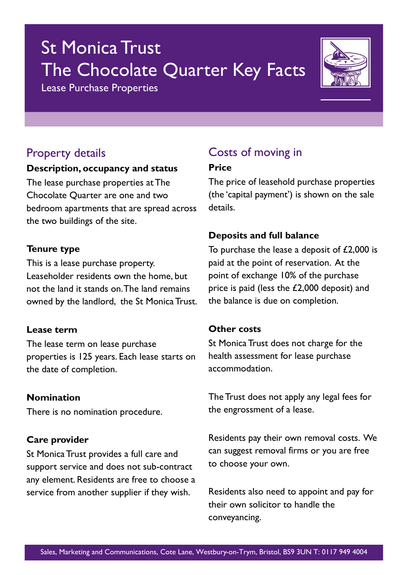# St Monica Trust The Chocolate Quarter Key Facts

Lease Purchase Properties



## Property details

#### **Description, occupancy and status**

The lease purchase properties at The Chocolate Quarter are one and two bedroom apartments that are spread across the two buildings of the site.

#### **Tenure type**

This is a lease purchase property. Leaseholder residents own the home, but not the land it stands on. The land remains owned by the landlord, the St Monica Trust.

### **Lease term**

The lease term on lease purchase properties is 125 years. Each lease starts on the date of completion.

### **Nomination**

There is no nomination procedure.

### **Care provider**

St Monica Trust provides a full care and support service and does not sub-contract any element. Residents are free to choose a service from another supplier if they wish.

# Costs of moving in

#### **Price**

The price of leasehold purchase properties (the 'capital payment') is shown on the sale details.

### **Deposits and full balance**

To purchase the lease a deposit of £2,000 is paid at the point of reservation. At the point of exchange 10% of the purchase price is paid (less the £2,000 deposit) and the balance is due on completion.

### **Other costs**

St Monica Trust does not charge for the health assessment for lease purchase accommodation.

The Trust does not apply any legal fees for the engrossment of a lease.

Residents pay their own removal costs. We can suggest removal firms or you are free to choose your own.

Residents also need to appoint and pay for their own solicitor to handle the conveyancing.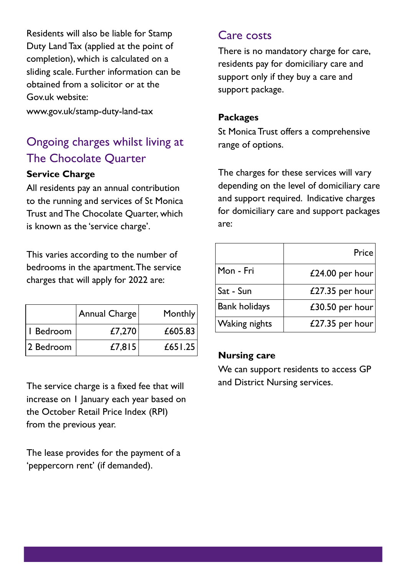Residents will also be liable for Stamp Duty Land Tax (applied at the point of completion), which is calculated on a sliding scale. Further information can be obtained from a solicitor or at the Gov.uk website:

www.gov.uk/stamp-duty-land-tax

# Ongoing charges whilst living at The Chocolate Quarter

### **Service Charge**

All residents pay an annual contribution to the running and services of St Monica Trust and The Chocolate Quarter, which is known as the 'service charge'.

This varies according to the number of bedrooms in the apartment. The service charges that will apply for 2022 are:

|           | Annual Charge | Monthly |
|-----------|---------------|---------|
| I Bedroom | £7,270        | £605.83 |
| 2 Bedroom | £7,815        | £651.25 |

The service charge is a fixed fee that will increase on 1 January each year based on the October Retail Price Index (RPI) from the previous year.

The lease provides for the payment of a 'peppercorn rent' (if demanded).

### Care costs

There is no mandatory charge for care, residents pay for domiciliary care and support only if they buy a care and support package.

### **Packages**

St Monica Trust offers a comprehensive range of options.

The charges for these services will vary depending on the level of domiciliary care and support required. Indicative charges for domiciliary care and support packages are:

|                      | <b>Price!</b>   |
|----------------------|-----------------|
| Mon - Fri            | £24.00 per hour |
| Sat - Sun            | £27.35 per hour |
| <b>Bank holidays</b> | £30.50 per hour |
| <b>Waking nights</b> | £27.35 per hour |

### **Nursing care**

We can support residents to access GP and District Nursing services.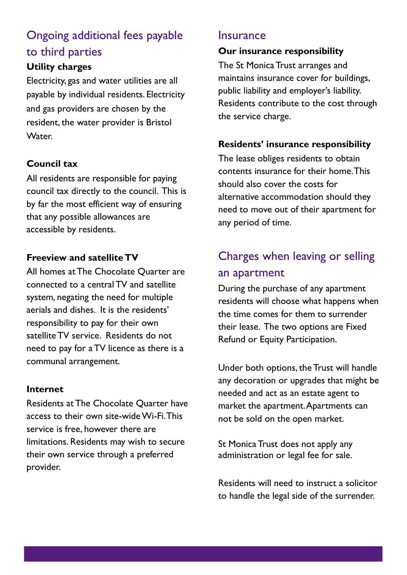# Ongoing additional fees payable to third parties

### **Utility charges**

Electricity, gas and water utilities are all payable by individual residents. Electricity and gas providers are chosen by the resident, the water provider is Bristol Water.

### **Council tax**

All residents are responsible for paying council tax directly to the council. This is by far the most efficient way of ensuring that any possible allowances are accessible by residents.

### **Freeview and satellite TV**

All homes at The Chocolate Quarter are connected to a central TV and satellite system, negating the need for multiple aerials and dishes. It is the residents' responsibility to pay for their own satellite TV service. Residents do not need to pay for a TV licence as there is a communal arrangement.

### **Internet**

Residents at The Chocolate Quarter have access to their own site-wide Wi-Fi. This service is free, however there are limitations. Residents may wish to secure their own service through a preferred provider.

### **Insurance**

### **Our insurance responsibility**

The St Monica Trust arranges and maintains insurance cover for buildings, public liability and employer's liability. Residents contribute to the cost through the service charge.

### **Residents' insurance responsibility**

The lease obliges residents to obtain contents insurance for their home. This should also cover the costs for alternative accommodation should they need to move out of their apartment for any period of time.

# Charges when leaving or selling an apartment

During the purchase of any apartment residents will choose what happens when the time comes for them to surrender their lease. The two options are Fixed Refund or Equity Participation.

Under both options, the Trust will handle any decoration or upgrades that might be needed and act as an estate agent to market the apartment. Apartments can not be sold on the open market.

St Monica Trust does not apply any administration or legal fee for sale.

Residents will need to instruct a solicitor to handle the legal side of the surrender.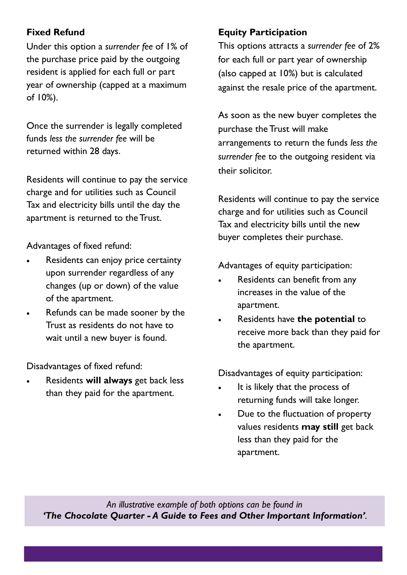### **Fixed Refund**

Under this option a *surrender fee* of 1% of the purchase price paid by the outgoing resident is applied for each full or part year of ownership (capped at a maximum of 10%).

Once the surrender is legally completed funds *less the surrender fee* will be returned within 28 days.

Residents will continue to pay the service charge and for utilities such as Council Tax and electricity bills until the day the apartment is returned to the Trust.

Advantages of fixed refund:

- Residents can enjoy price certainty upon surrender regardless of any changes (up or down) of the value of the apartment.
- Refunds can be made sooner by the Trust as residents do not have to wait until a new buyer is found.

Disadvantages of fixed refund:

• Residents **will always** get back less than they paid for the apartment.

### **Equity Participation**

This options attracts a *surrender fee* of 2% for each full or part year of ownership (also capped at 10%) but is calculated against the resale price of the apartment.

As soon as the new buyer completes the purchase the Trust will make arrangements to return the funds *less the surrender fee* to the outgoing resident via their solicitor.

Residents will continue to pay the service charge and for utilities such as Council Tax and electricity bills until the new buyer completes their purchase.

Advantages of equity participation:

- Residents can benefit from any increases in the value of the apartment.
- Residents have **the potential** to receive more back than they paid for the apartment.

Disadvantages of equity participation:

- It is likely that the process of returning funds will take longer.
- Due to the fluctuation of property values residents **may still** get back less than they paid for the apartment.

*An illustrative example of both options can be found in 'The Chocolate Quarter - A Guide to Fees and Other Important Information'.*